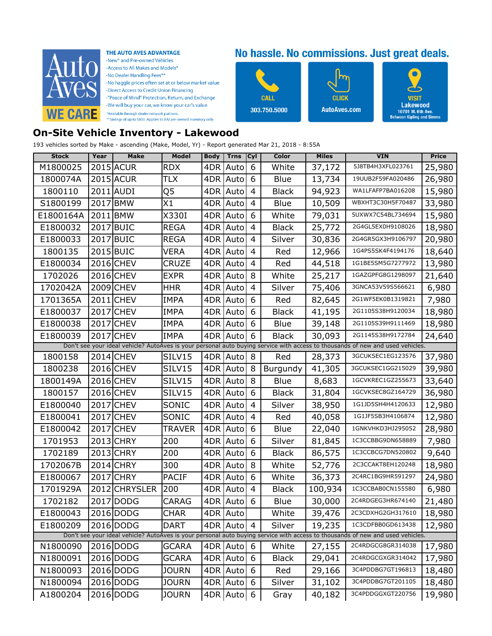

THE AUTO AVES ADVANTAGE

-New<sup>\*</sup> and Pre-owned Vehicles -Access to All Makes and Models\* -No Dealer Handling Fees\*\* -No haggle prices often set at or below market value -Direct Access to Credit Union Financing -"Peace of Mind" Protection, Return, and Exchange -We will buy your car, we know your car's value \*Available through dealer network partners.<br>\*\*Savings of up to \$800. Applies to AAI pre-owned inventory only.

## No hassle. No commissions. Just great deals.



Ω VISI1 Lakewood 10701 W. 6th Ave.<br>Between Kipling and Simms

## **On-Site Vehicle Inventory - Lakewood**

193 vehicles sorted by Make - ascending (Make, Model, Yr) - Report generated Mar 21, 2018 - 8:55A

| <b>Stock</b> | Year      | <b>Make</b>   | Model        | <b>Body</b> | Trns         | Cyl | Color        | <b>Miles</b> | <b>VIN</b>                                                                                                                     | <b>Price</b> |
|--------------|-----------|---------------|--------------|-------------|--------------|-----|--------------|--------------|--------------------------------------------------------------------------------------------------------------------------------|--------------|
| M1800025     |           | 2015 ACUR     | <b>RDX</b>   | 4DR         | Auto         | 6   | White        | 37,172       | 5J8TB4H3XFL023761                                                                                                              | 25,980       |
| 1800074A     |           | 2015 ACUR     | TLX          | 4DR         | Auto         | 6   | Blue         | 13,734       | 19UUB2F59FA020486                                                                                                              | 26,980       |
| 1800110      |           | 2011 AUDI     | Q5           | 4DR         | Auto         | 4   | <b>Black</b> | 94,923       | WA1LFAFP7BA016208                                                                                                              | 15,980       |
| S1800199     | 2017 BMW  |               | X1           | 4DR         | Auto         | 4   | Blue         | 10,509       | WBXHT3C30H5F70487                                                                                                              | 33,980       |
| E1800164A    | 2011 BMW  |               | X330I        | 4DR         | Auto         | 6   | White        | 79,031       | 5UXWX7C54BL734694                                                                                                              | 15,980       |
| E1800032     |           | 2017 BUIC     | <b>REGA</b>  | 4DR         | Auto         | 4   | <b>Black</b> | 25,772       | 2G4GL5EX0H9108026                                                                                                              | 18,980       |
| E1800033     | 2017 BUIC |               | <b>REGA</b>  | 4DR         | Auto         | 4   | Silver       | 30,836       | 2G4GR5GX3H9106797                                                                                                              | 20,980       |
| 1800135      |           | 2015 BUIC     | VERA         | 4DR         | Auto         | 4   | Red          | 12,966       | 1G4PS5SK4F4194176                                                                                                              | 18,640       |
| E1800034     |           | 2016 CHEV     | CRUZE        | 4DR         | Auto         | 4   | Red          | 44,518       | 1G1BE5SM5G7277972                                                                                                              | 13,980       |
| 1702026      |           | 2016 CHEV     | <b>EXPR</b>  | 4DR         | Auto         | 8   | White        | 25,217       | 1GAZGPFG8G1298097                                                                                                              | 21,640       |
| 1702042A     |           | 2009 CHEV     | <b>HHR</b>   | 4DR         | Auto         | 4   | Silver       | 75,406       | 3GNCA53V59S566621                                                                                                              | 6,980        |
| 1701365A     |           | 2011 CHEV     | <b>IMPA</b>  | 4DR         | Auto         | 6   | Red          | 82,645       | 2G1WF5EK0B1319821                                                                                                              | 7,980        |
| E1800037     |           | 2017 CHEV     | <b>IMPA</b>  | 4DR         | Auto         | 6   | <b>Black</b> | 41,195       | 2G1105S38H9120034                                                                                                              | 18,980       |
| E1800038     |           | 2017 CHEV     | <b>IMPA</b>  | 4DR         | Auto         | 6   | Blue         | 39,148       | 2G1105S39H9111469                                                                                                              | 18,980       |
| E1800039     |           | 2017 CHEV     | <b>IMPA</b>  | 4DR         | Auto         | 6   | <b>Black</b> | 30,093       | 2G1145S38H9172784                                                                                                              | 24,640       |
|              |           |               |              |             |              |     |              |              | Don't see your ideal vehicle? AutoAves is your personal auto buying service with access to thousands of new and used vehicles. |              |
| 1800158      |           | 2014 CHEV     | SILV15       | 4DR         | Auto         | 8   | Red          | 28,373       | 3GCUKSEC1EG123576                                                                                                              | 37,980       |
| 1800238      |           | 2016 CHEV     | SILV15       | 4DR         | Auto         | 8   | Burgundy     | 41,305       | 3GCUKSEC1GG215029                                                                                                              | 39,980       |
| 1800149A     |           | 2016 CHEV     | SILV15       | 4DR         | Auto         | 8   | Blue         | 8,683        | 1GCVKREC1GZ255673                                                                                                              | 33,640       |
| 1800157      |           | 2016 CHEV     | SILV15       | 4DR         | Auto         | 6   | <b>Black</b> | 31,804       | 1GCVKSEC8GZ164729                                                                                                              | 36,980       |
| E1800040     |           | 2017 CHEV     | SONIC        | 4DR         | Auto         | 4   | Silver       | 38,950       | 1G1JD5SH4H4120633                                                                                                              | 12,980       |
| E1800041     |           | 2017 CHEV     | SONIC        | 4DR         | Auto         | 4   | Red          | 40,058       | 1G1JF5SB3H4106874                                                                                                              | 12,980       |
| E1800042     |           | 2017 CHEV     | TRAVER       | 4DR         | Auto         | 6   | Blue         | 22,040       | 1GNKVHKD3HJ295052                                                                                                              | 28,980       |
| 1701953      |           | 2013 CHRY     | 200          | 4DR         | Auto         | 6   | Silver       | 81,845       | 1C3CCBBG9DN658889                                                                                                              | 7,980        |
| 1702189      |           | 2013 CHRY     | 200          | 4DR         | Auto         | 6   | Black        | 86,575       | 1C3CCBCG7DN520802                                                                                                              | 9,640        |
| 1702067B     |           | 2014 CHRY     | 300          | 4DR         | Auto         | 8   | White        | 52,776       | 2C3CCAKT8EH120248                                                                                                              | 18,980       |
| E1800067     |           | 2017 CHRY     | <b>PACIF</b> | 4DR         | Auto         | 6   | White        | 36,373       | 2C4RC1BG9HR591297                                                                                                              | 24,980       |
| 1701929A     |           | 2012 CHRYSLER | 200          | 4DR         | Auto         | 4   | Black        | 100,934      | 1C3CCBAB0CN155580                                                                                                              | 6,980        |
| 1702182      |           | 2017 DODG     | CARAG        | 4DR         | Auto         | 6   | Blue         | 30,000       | 2C4RDGEG3HR674140                                                                                                              | 21,480       |
| E1800043     |           | 2016 DODG     | <b>CHAR</b>  |             | 4DR Auto     |     | White        | 39,476       | 2C3CDXHG2GH317610                                                                                                              | 18,980       |
| E1800209     |           | 2016 DODG     | <b>DART</b>  |             | 4DR Auto     | 4   | Silver       | 19,235       | 1C3CDFBB0GD613438                                                                                                              | 12,980       |
|              |           |               |              |             |              |     |              |              | Don't see your ideal vehicle? AutoAves is your personal auto buying service with access to thousands of new and used vehicles. |              |
| N1800090     |           | 2016 DODG     | <b>GCARA</b> |             | $4DR$ Auto 6 |     | White        | 27,155       | 2C4RDGCG8GR314038                                                                                                              | 17,980       |
| N1800091     |           | 2016 DODG     | GCARA        |             | 4DR Auto     | 6   | <b>Black</b> | 29,041       | 2C4RDGCGXGR314042                                                                                                              | 17,980       |
| N1800093     |           | 2016 DODG     | <b>JOURN</b> |             | 4DR Auto     | 6   | Red          | 29,166       | 3C4PDDBG7GT196813                                                                                                              | 18,480       |
| N1800094     |           | 2016 DODG     | <b>JOURN</b> |             | 4DR Auto     | 6   | Silver       | 31,102       | 3C4PDDBG7GT201105                                                                                                              | 18,480       |
| A1800204     |           | 2016 DODG     | <b>JOURN</b> |             | 4DR Auto     | 6   | Gray         | 40,182       | 3C4PDDGGXGT220756                                                                                                              | 19,980       |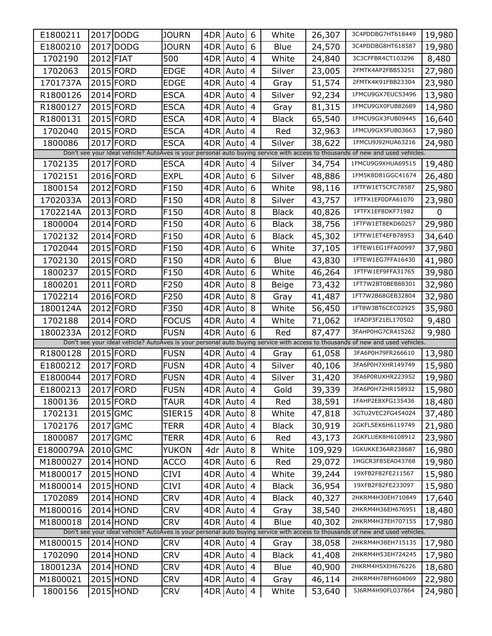| E1800211                                                                                                                       |           | 2017 DODG | <b>JOURN</b>     | 4DR | Auto       | 6              | White        | 26,307  | 3C4PDDBG7HT618449                                                                                                              | 19,980 |
|--------------------------------------------------------------------------------------------------------------------------------|-----------|-----------|------------------|-----|------------|----------------|--------------|---------|--------------------------------------------------------------------------------------------------------------------------------|--------|
| E1800210                                                                                                                       |           | 2017 DODG | <b>JOURN</b>     | 4DR | Auto       | 6              | Blue         | 24,570  | 3C4PDDBG8HT618587                                                                                                              | 19,980 |
| 1702190                                                                                                                        | 2012 FIAT |           | 500              | 4DR | Auto       | 4              | White        | 24,840  | 3C3CFFBR4CT103296                                                                                                              | 8,480  |
| 1702063                                                                                                                        |           | 2015 FORD | <b>EDGE</b>      | 4DR | Auto       | 4              | Silver       | 23,005  | 2FMTK4AP2FBB53251                                                                                                              | 27,980 |
| 1701737A                                                                                                                       |           | 2015 FORD | EDGE             | 4DR | Auto       | 4              | Gray         | 51,574  | 2FMTK4K91FBB23304                                                                                                              | 23,980 |
| R1800126                                                                                                                       |           | 2014 FORD | <b>ESCA</b>      | 4DR | Auto       | 4              | Silver       | 92,234  | 1FMCU9GX7EUC53496                                                                                                              | 13,980 |
| R1800127                                                                                                                       |           | 2015 FORD | <b>ESCA</b>      | 4DR | Auto       | 4              | Gray         | 81,315  | 1FMCU9GX0FUB82689                                                                                                              | 14,980 |
| R1800131                                                                                                                       |           | 2015 FORD | <b>ESCA</b>      | 4DR | Auto       | 4              | <b>Black</b> | 65,540  | 1FMCU9GX3FUB09445                                                                                                              | 16,640 |
| 1702040                                                                                                                        |           | 2015 FORD | <b>ESCA</b>      |     | 4DR Auto   | 4              | Red          | 32,963  | 1FMCU9GX5FUB03663                                                                                                              | 17,980 |
| 1800086                                                                                                                        |           | 2017 FORD | <b>ESCA</b>      | 4DR | Auto       | $\overline{4}$ | Silver       | 38,622  | 1FMCU9J92HUA63216                                                                                                              | 24,980 |
| Don't see your ideal vehicle? AutoAves is your personal auto buying service with access to thousands of new and used vehicles. |           |           |                  |     |            |                |              |         |                                                                                                                                |        |
| 1702135                                                                                                                        |           | 2017 FORD | <b>ESCA</b>      |     | 4DR Auto   | 4              | Silver       | 34,754  | 1FMCU9G9XHUA69515                                                                                                              | 19,480 |
| 1702151                                                                                                                        |           | 2016 FORD | <b>EXPL</b>      | 4DR | Auto       | 6              | Silver       | 48,886  | 1FM5K8D81GGC41674                                                                                                              | 26,480 |
| 1800154                                                                                                                        |           | 2012 FORD | F <sub>150</sub> | 4DR | Auto       | 6              | White        | 98,116  | 1FTFW1ET5CFC78587                                                                                                              | 25,980 |
| 1702033A                                                                                                                       |           | 2013 FORD | F150             | 4DR | Auto       | 8              | Silver       | 43,757  | 1FTFX1EF0DFA61070                                                                                                              | 23,980 |
| 1702214A                                                                                                                       |           | 2013 FORD | F150             | 4DR | Auto       | 8              | <b>Black</b> | 40,826  | 1FTFX1EF8DKF71982                                                                                                              | 0      |
| 1800004                                                                                                                        |           | 2014 FORD | F150             | 4DR | Auto       | 6              | <b>Black</b> | 38,756  | 1FTFW1ET8EKD60257                                                                                                              | 29,980 |
| 1702132                                                                                                                        |           | 2014 FORD | F <sub>150</sub> | 4DR | Auto       | 6              | <b>Black</b> | 45,302  | 1FTFW1ET4EFB78953                                                                                                              | 34,640 |
| 1702044                                                                                                                        |           | 2015 FORD | F150             | 4DR | Auto       | 6              | White        | 37,105  | 1FTEW1EG1FFA00997                                                                                                              | 37,980 |
| 1702130                                                                                                                        |           | 2015 FORD | F150             | 4DR | Auto       | 6              | Blue         | 43,830  | 1FTEW1EG7FFA16430                                                                                                              | 41,980 |
| 1800237                                                                                                                        |           | 2015 FORD | F150             |     | 4DR Auto   | 6              | White        | 46,264  | 1FTFW1EF9FFA31765                                                                                                              | 39,980 |
| 1800201                                                                                                                        |           | 2011 FORD | F250             | 4DR | Auto       | 8              | Beige        | 73,432  | 1FT7W2BT0BEB88301                                                                                                              | 32,980 |
| 1702214                                                                                                                        |           | 2016 FORD | F250             |     | 4DR Auto   | 8              | Gray         | 41,487  | 1FT7W2B68GEB32804                                                                                                              | 32,980 |
| 1800124A                                                                                                                       |           | 2012 FORD | F350             | 4DR | Auto       | 8              | White        | 56,450  | 1FT8W3BT6CEC02925                                                                                                              | 35,980 |
| 1702188                                                                                                                        |           | 2014 FORD | <b>FOCUS</b>     |     | 4DR Auto   | 4              | White        | 71,062  | 1FADP3F21EL170502                                                                                                              | 9,480  |
| 1800233A                                                                                                                       |           | 2012 FORD | <b>FUSN</b>      | 4DR | Auto       | 6              | Red          | 87,477  | 3FAHP0HG7CR415262                                                                                                              | 9,980  |
|                                                                                                                                |           |           |                  |     |            |                |              |         | Don't see your ideal vehicle? AutoAves is your personal auto buying service with access to thousands of new and used vehicles. |        |
| R1800128                                                                                                                       |           | 2015 FORD | <b>FUSN</b>      |     | 4DR Auto   | 4              | Gray         | 61,058  | 3FA6P0H79FR266610                                                                                                              | 13,980 |
| E1800212                                                                                                                       |           | 2017 FORD | <b>FUSN</b>      |     | 4DR Auto   | 4              | Silver       | 40,106  | 3FA6P0H7XHR149749                                                                                                              | 15,980 |
| E1800044                                                                                                                       |           | 2017 FORD | <b>FUSN</b>      |     | 4DR Auto   | 4              | Silver       | 31,420  | 3FA6P0RUXHR223952                                                                                                              | 19,980 |
| E1800213                                                                                                                       |           | 2017 FORD | <b>FUSN</b>      |     | 4DR Auto   | $\overline{4}$ | Gold         | 39,339  | 3FA6P0H72HR158932                                                                                                              | 15,980 |
| 1800136                                                                                                                        |           | 2015 FORD | TAUR             |     | 4DR Auto   | 4              | Red          | 38,591  | 1FAHP2E8XFG135436                                                                                                              | 18,480 |
| 1702131                                                                                                                        | 2015 GMC  |           | SIER15           |     | 4DR Auto   | 8              | White        | 47,818  | 3GTU2VEC2FG454024                                                                                                              | 37,480 |
| 1702176                                                                                                                        | 2017 GMC  |           | TERR             |     | 4DR Auto   | 4              | <b>Black</b> | 30,919  | 2GKFLSEK6H6119749                                                                                                              | 21,980 |
| 1800087                                                                                                                        | 2017 GMC  |           | TERR             |     | 4DR Auto   | 6              | Red          | 43,173  | 2GKFLUEK8H6108912                                                                                                              | 23,980 |
| E1800079A                                                                                                                      | 2010 GMC  |           | YUKON            | 4dr | Auto       | 8              | White        | 109,929 | 1GKUKKE36AR238687                                                                                                              | 16,980 |
| M1800027                                                                                                                       |           | 2014 HOND | <b>ACCO</b>      | 4DR | Auto       | 6              | Red          | 29,072  | 1HGCR3F85EA043768                                                                                                              | 19,980 |
| M1800017                                                                                                                       |           | 2015 HOND | CIVI             |     | 4DR Auto   | 4              | White        | 39,244  | 19XFB2F82FE211567                                                                                                              | 15,980 |
| M1800014                                                                                                                       |           | 2015 HOND | CIVI             |     | 4DR Auto   | 4              | <b>Black</b> | 36,954  | 19XFB2F82FE233097                                                                                                              | 15,980 |
| 1702089                                                                                                                        |           | 2014 HOND | <b>CRV</b>       |     | 4DR Auto   | 4              | <b>Black</b> | 40,327  | 2HKRM4H30EH710849                                                                                                              | 17,640 |
| M1800016                                                                                                                       |           | 2014 HOND | <b>CRV</b>       |     | 4DR Auto   | $\overline{4}$ | Gray         | 38,540  | 2HKRM4H36EH676951                                                                                                              | 18,480 |
| M1800018                                                                                                                       |           | 2014 HOND | <b>CRV</b>       |     | 4DR Auto   | 4              | Blue         | 40,302  | 2HKRM4H37EH707155                                                                                                              | 17,980 |
|                                                                                                                                |           |           |                  |     |            |                |              |         | Don't see your ideal vehicle? AutoAves is your personal auto buying service with access to thousands of new and used vehicles. |        |
| M1800015                                                                                                                       |           | 2014 HOND | <b>CRV</b>       |     | 4DR Auto   | $\overline{4}$ | Gray         | 38,058  | 2HKRM4H38EH715135                                                                                                              | 17,980 |
| 1702090                                                                                                                        |           | 2014 HOND | <b>CRV</b>       |     | 4DR Auto   | 4              | <b>Black</b> | 41,408  | 2HKRM4H53EH724245                                                                                                              | 17,980 |
| 1800123A                                                                                                                       |           | 2014 HOND | <b>CRV</b>       |     | 4DR Auto   | 4              | Blue         | 40,900  | 2HKRM4H5XEH676226                                                                                                              | 18,680 |
| M1800021                                                                                                                       |           | 2015 HOND | <b>CRV</b>       |     | 4DR   Auto | 4              | Gray         | 46,114  | 2HKRM4H78FH604069                                                                                                              | 22,980 |
| 1800156                                                                                                                        |           | 2015 HOND | <b>CRV</b>       |     | 4DR Auto   | $\overline{4}$ | White        | 53,640  | 5J6RM4H90FL037864                                                                                                              | 24,980 |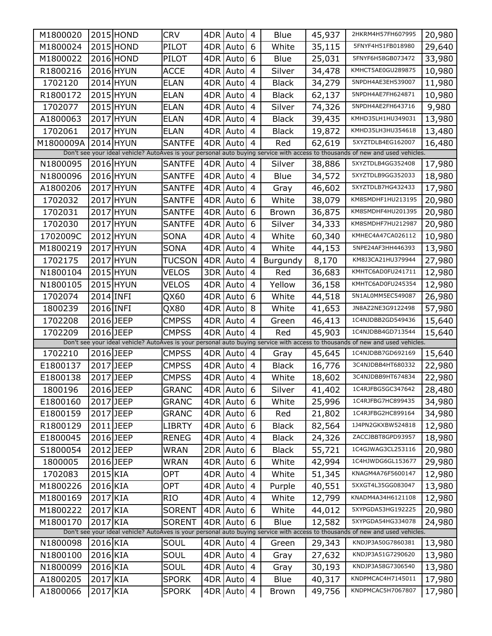| M1800020                                                                                                                       |           | 2015 HOND | <b>CRV</b>    |     | 4DR Auto   | 4              | Blue         | 45,937 | 2HKRM4H57FH607995                                                                                                              | 20,980 |
|--------------------------------------------------------------------------------------------------------------------------------|-----------|-----------|---------------|-----|------------|----------------|--------------|--------|--------------------------------------------------------------------------------------------------------------------------------|--------|
| M1800024                                                                                                                       |           | 2015 HOND | PILOT         | 4DR | Auto       | 6              | White        | 35,115 | 5FNYF4H51FB018980                                                                                                              | 29,640 |
| M1800022                                                                                                                       |           | 2016 HOND | PILOT         | 4DR | Auto       | 6              | Blue         | 25,031 | 5FNYF6H58GB073472                                                                                                              | 33,980 |
| R1800216                                                                                                                       |           | 2016 HYUN | <b>ACCE</b>   | 4DR | Auto       | 4              | Silver       | 34,478 | KMHCT5AE0GU289875                                                                                                              | 10,980 |
| 1702120                                                                                                                        |           | 2014 HYUN | <b>ELAN</b>   | 4DR | Auto       | 4              | <b>Black</b> | 34,279 | 5NPDH4AE3EH539007                                                                                                              | 11,980 |
| R1800172                                                                                                                       |           | 2015 HYUN | <b>ELAN</b>   | 4DR | Auto       | 4              | <b>Black</b> | 62,137 | 5NPDH4AE7FH624871                                                                                                              | 10,980 |
| 1702077                                                                                                                        |           | 2015 HYUN | <b>ELAN</b>   | 4DR | Auto       | 4              | Silver       | 74,326 | 5NPDH4AE2FH643716                                                                                                              | 9,980  |
| A1800063                                                                                                                       |           | 2017 HYUN | <b>ELAN</b>   | 4DR | Auto       | 4              | <b>Black</b> | 39,435 | KMHD35LH1HU349031                                                                                                              | 13,980 |
| 1702061                                                                                                                        |           | 2017 HYUN | <b>ELAN</b>   | 4DR | Auto       | 4              | Black        | 19,872 | KMHD35LH3HU354618                                                                                                              | 13,480 |
| M1800009A                                                                                                                      |           | 2014 HYUN | <b>SANTFE</b> | 4DR | Auto       | 4              | Red          | 62,619 | 5XYZTDLB4EG162007                                                                                                              | 16,480 |
| Don't see your ideal vehicle? AutoAves is your personal auto buying service with access to thousands of new and used vehicles. |           |           |               |     |            |                |              |        |                                                                                                                                |        |
| N1800095                                                                                                                       |           | 2016 HYUN | <b>SANTFE</b> |     | 4DR Auto   | 4              | Silver       | 38,886 | 5XYZTDLB4GG352408                                                                                                              | 17,980 |
| N1800096                                                                                                                       |           | 2016 HYUN | <b>SANTFE</b> |     | 4DR Auto   | 4              | Blue         | 34,572 | 5XYZTDLB9GG352033                                                                                                              | 18,980 |
| A1800206                                                                                                                       |           | 2017 HYUN | <b>SANTFE</b> | 4DR | Auto       | 4              | Gray         | 46,602 | 5XYZTDLB7HG432433                                                                                                              | 17,980 |
| 1702032                                                                                                                        |           | 2017 HYUN | <b>SANTFE</b> | 4DR | Auto       | 6              | White        | 38,079 | KM8SMDHF1HU213195                                                                                                              | 20,980 |
| 1702031                                                                                                                        |           | 2017 HYUN | SANTFE        | 4DR | Auto       | 6              | Brown        | 36,875 | KM8SMDHF4HU201395                                                                                                              | 20,980 |
| 1702030                                                                                                                        |           | 2017 HYUN | <b>SANTFE</b> |     | 4DR Auto   | 6              | Silver       | 34,333 | KM8SMDHF7HU212987                                                                                                              | 20,980 |
| 1702009C                                                                                                                       |           | 2012 HYUN | SONA          | 4DR | Auto       | 4              | White        | 60,340 | KMHEC4A47CA026112                                                                                                              | 10,980 |
| M1800219                                                                                                                       |           | 2017 HYUN | <b>SONA</b>   |     | 4DR Auto   | 4              | White        | 44,153 | 5NPE24AF3HH446393                                                                                                              | 13,980 |
| 1702175                                                                                                                        |           | 2017 HYUN | TUCSON        |     | 4DR Auto   | 4              | Burgundy     | 8,170  | KM8J3CA21HU379944                                                                                                              | 27,980 |
| N1800104                                                                                                                       |           | 2015 HYUN | <b>VELOS</b>  |     | 3DR Auto   | 4              | Red          | 36,683 | KMHTC6AD0FU241711                                                                                                              | 12,980 |
| N1800105                                                                                                                       |           | 2015 HYUN | VELOS         | 4DR | Auto       | 4              | Yellow       | 36,158 | KMHTC6AD0FU245354                                                                                                              | 12,980 |
| 1702074                                                                                                                        | 2014 INFI |           | QX60          |     | 4DR Auto   | 6              | White        | 44,518 | 5N1AL0MM5EC549087                                                                                                              | 26,980 |
| 1800239                                                                                                                        | 2016 INFI |           | QX80          | 4DR | Auto       | 8              | White        | 41,653 | JN8AZ2NE3G9122498                                                                                                              | 57,980 |
| 1702208                                                                                                                        | 2016 JEEP |           | <b>CMPSS</b>  |     | 4DR Auto   | 4              | Green        | 46,413 | 1C4NJDBB2GD549436                                                                                                              | 15,640 |
| 1702209                                                                                                                        | 2016 JEEP |           | <b>CMPSS</b>  | 4DR | Auto       | 4              | Red          | 45,903 | 1C4NJDBB4GD713544                                                                                                              | 15,640 |
|                                                                                                                                |           |           |               |     |            |                |              |        | Don't see your ideal vehicle? AutoAves is your personal auto buying service with access to thousands of new and used vehicles. |        |
| 1702210                                                                                                                        | 2016 JEEP |           | <b>CMPSS</b>  |     | 4DR Auto   | 4              | Gray         | 45,645 | 1C4NJDBB7GD692169                                                                                                              | 15,640 |
| E1800137                                                                                                                       | 2017 JEEP |           | <b>CMPSS</b>  |     | 4DR Auto   | $\overline{4}$ | <b>Black</b> | 16,776 | 3C4NJDBB4HT680332                                                                                                              | 22,980 |
| E1800138                                                                                                                       | 2017 JEEP |           | <b>CMPSS</b>  |     | 4DR Auto   | 4              | White        | 18,602 | 3C4NJDBB9HT674834                                                                                                              | 22,980 |
| 1800196                                                                                                                        | 2016 JEEP |           | <b>GRANC</b>  |     | 4DR Auto 6 |                | Silver       |        | 41,402   1C4RJFBG5GC347642                                                                                                     | 28,480 |
| E1800160                                                                                                                       | 2017 JEEP |           | <b>GRANC</b>  |     | 4DR Auto   | 6              | White        | 25,996 | 1C4RJFBG7HC899435                                                                                                              | 34,980 |
| E1800159                                                                                                                       | 2017 JEEP |           | <b>GRANC</b>  |     | 4DR Auto   | 6              | Red          | 21,802 | 1C4RJFBG2HC899164                                                                                                              | 34,980 |
| R1800129                                                                                                                       | 2011 JEEP |           | <b>LIBRTY</b> |     | 4DR Auto   | 6              | <b>Black</b> | 82,564 | 1J4PN2GKXBW524818                                                                                                              | 12,980 |
| E1800045                                                                                                                       | 2016 JEEP |           | <b>RENEG</b>  |     | 4DR Auto   | 4              | <b>Black</b> | 24,326 | ZACCJBBT8GPD93957                                                                                                              | 18,980 |
| S1800054                                                                                                                       | 2012 JEEP |           | WRAN          |     | 2DR Auto   | 6              | <b>Black</b> | 55,721 | 1C4GJWAG3CL253116                                                                                                              | 20,980 |
| 1800005                                                                                                                        | 2016 JEEP |           | WRAN          |     | 4DR Auto   | 6              | White        | 42,994 | 1C4HJWDG6GL153677                                                                                                              | 29,980 |
| 1702083                                                                                                                        | 2015 KIA  |           | OPT           |     | 4DR Auto   | 4              | White        | 51,345 | KNAGM4A76F5600147                                                                                                              | 12,980 |
| M1800226                                                                                                                       | 2016 KIA  |           | <b>OPT</b>    |     | 4DR Auto   | 4              | Purple       | 40,551 | 5XXGT4L35GG083047                                                                                                              | 13,980 |
| M1800169                                                                                                                       | 2017 KIA  |           | <b>RIO</b>    |     | 4DR Auto   | 4              | White        | 12,799 | KNADM4A34H6121108                                                                                                              | 12,980 |
| M1800222                                                                                                                       | 2017 KIA  |           | <b>SORENT</b> |     | 4DR Auto   | 6              | White        | 44,012 | 5XYPGDA53HG192225                                                                                                              | 20,980 |
| M1800170                                                                                                                       | 2017 KIA  |           | <b>SORENT</b> |     | 4DR Auto   | 6              | Blue         | 12,582 | 5XYPGDA54HG334078                                                                                                              | 24,980 |
|                                                                                                                                |           |           |               |     |            |                |              |        | Don't see your ideal vehicle? AutoAves is your personal auto buying service with access to thousands of new and used vehicles. |        |
| N1800098                                                                                                                       | 2016 KIA  |           | SOUL          |     | 4DR Auto   | 4              | Green        | 29,343 | KNDJP3A50G7860381                                                                                                              | 13,980 |
| N1800100                                                                                                                       | 2016 KIA  |           | SOUL          |     | 4DR Auto   | 4              | Gray         | 27,632 | KNDJP3A51G7290620                                                                                                              | 13,980 |
| N1800099                                                                                                                       | 2016 KIA  |           | SOUL          |     | 4DR Auto   | 4              | Gray         | 30,193 | KNDJP3A58G7306540                                                                                                              | 13,980 |
| A1800205                                                                                                                       | 2017 KIA  |           | <b>SPORK</b>  |     | 4DR Auto   | 4              | Blue         | 40,317 | KNDPMCAC4H7145011                                                                                                              | 17,980 |
| A1800066                                                                                                                       | 2017 KIA  |           | <b>SPORK</b>  |     | 4DR Auto   | 4              | <b>Brown</b> | 49,756 | KNDPMCAC5H7067807                                                                                                              | 17,980 |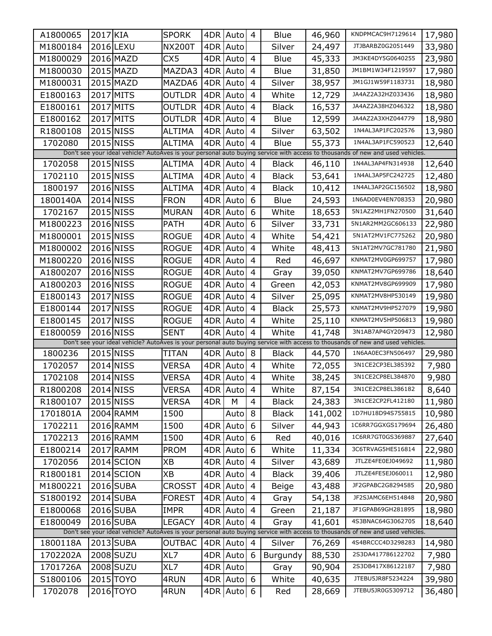| A1800065                                                                                                                       | 2017 KIA  |            | <b>SPORK</b>  | 4DR | Auto     | 4              | Blue         | 46,960  | KNDPMCAC9H7129614                                                                                                              | 17,980 |
|--------------------------------------------------------------------------------------------------------------------------------|-----------|------------|---------------|-----|----------|----------------|--------------|---------|--------------------------------------------------------------------------------------------------------------------------------|--------|
| M1800184                                                                                                                       |           | 2016 LEXU  | <b>NX200T</b> | 4DR | Auto     |                | Silver       | 24,497  | JTJBARBZ0G2051449                                                                                                              | 33,980 |
| M1800029                                                                                                                       |           | 2016 MAZD  | CX5           | 4DR | Auto     | 4              | Blue         | 45,333  | JM3KE4DY5G0640255                                                                                                              | 23,980 |
| M1800030                                                                                                                       |           | 2015 MAZD  | MAZDA3        | 4DR | Auto     | 4              | Blue         | 31,850  | JM1BM1W34F1219597                                                                                                              | 17,980 |
| M1800031                                                                                                                       |           | 2015 MAZD  | MAZDA6        | 4DR | Auto     | 4              | Silver       | 38,957  | JM1GJ1W59F1183731                                                                                                              | 18,980 |
| E1800163                                                                                                                       |           | 2017 MITS  | OUTLDR        | 4DR | Auto     | 4              | White        | 12,729  | JA4AZ2A32HZ033436                                                                                                              | 18,980 |
| E1800161                                                                                                                       |           | 2017 MITS  | OUTLDR        | 4DR | Auto     | 4              | <b>Black</b> | 16,537  | JA4AZ2A38HZ046322                                                                                                              | 18,980 |
| E1800162                                                                                                                       |           | 2017 MITS  | OUTLDR        | 4DR | Auto     | 4              | Blue         | 12,599  | JA4AZ2A3XHZ044779                                                                                                              | 18,980 |
| R1800108                                                                                                                       |           | 2015 NISS  | ALTIMA        | 4DR | Auto     | 4              | Silver       | 63,502  | 1N4AL3AP1FC202576                                                                                                              | 13,980 |
| 1702080                                                                                                                        |           | 2015 NISS  | <b>ALTIMA</b> | 4DR | Auto     | 4              | <b>Blue</b>  | 55,373  | 1N4AL3AP1FC590523                                                                                                              | 12,640 |
| Don't see your ideal vehicle? AutoAves is your personal auto buying service with access to thousands of new and used vehicles. |           |            |               |     |          |                |              |         |                                                                                                                                |        |
| 1702058                                                                                                                        |           | 2015 NISS  | <b>ALTIMA</b> |     | 4DR Auto | 4              | <b>Black</b> | 46,110  | 1N4AL3AP4FN314938                                                                                                              | 12,640 |
| 1702110                                                                                                                        |           | 2015 NISS  | <b>ALTIMA</b> | 4DR | Auto     | 4              | <b>Black</b> | 53,641  | 1N4AL3AP5FC242725                                                                                                              | 12,480 |
| 1800197                                                                                                                        |           | 2016 NISS  | <b>ALTIMA</b> | 4DR | Auto     | 4              | <b>Black</b> | 10,412  | 1N4AL3AP2GC156502                                                                                                              | 18,980 |
| 1800140A                                                                                                                       |           | 2014 NISS  | <b>FRON</b>   | 4DR | Auto     | 6              | Blue         | 24,593  | 1N6AD0EV4EN708353                                                                                                              | 20,980 |
| 1702167                                                                                                                        |           | 2015 NISS  | <b>MURAN</b>  | 4DR | Auto     | 6              | White        | 18,653  | 5N1AZ2MH1FN270500                                                                                                              | 31,640 |
| M1800223                                                                                                                       |           | 2016 NISS  | <b>PATH</b>   | 4DR | Auto     | 6              | Silver       | 33,731  | 5N1AR2MM2GC606133                                                                                                              | 22,980 |
| M1800001                                                                                                                       |           | 2015 NISS  | <b>ROGUE</b>  | 4DR | Auto     | 4              | White        | 54,421  | 5N1AT2MV1FC775262                                                                                                              | 20,980 |
| M1800002                                                                                                                       |           | 2016 NISS  | <b>ROGUE</b>  | 4DR | Auto     | 4              | White        | 48,413  | 5N1AT2MV7GC781780                                                                                                              | 21,980 |
| M1800220                                                                                                                       |           | 2016 NISS  | <b>ROGUE</b>  | 4DR | Auto     | 4              | Red          | 46,697  | KNMAT2MV0GP699757                                                                                                              | 17,980 |
| A1800207                                                                                                                       |           | 2016 NISS  | <b>ROGUE</b>  | 4DR | Auto     | 4              | Gray         | 39,050  | KNMAT2MV7GP699786                                                                                                              | 18,640 |
| A1800203                                                                                                                       |           | 2016 NISS  | <b>ROGUE</b>  | 4DR | Auto     | 4              | Green        | 42,053  | KNMAT2MV8GP699909                                                                                                              | 17,980 |
| E1800143                                                                                                                       |           | 2017 NISS  | <b>ROGUE</b>  | 4DR | Auto     | 4              | Silver       | 25,095  | KNMAT2MV8HP530149                                                                                                              | 19,980 |
| E1800144                                                                                                                       |           | 2017 NISS  | <b>ROGUE</b>  | 4DR | Auto     | 4              | <b>Black</b> | 25,573  | KNMAT2MV9HP527079                                                                                                              | 19,980 |
| E1800145                                                                                                                       |           | 2017 NISS  | <b>ROGUE</b>  | 4DR | Auto     | 4              | White        | 25,110  | KNMAT2MV5HP506813                                                                                                              | 19,980 |
| E1800059                                                                                                                       |           | 2016 NISS  | <b>SENT</b>   | 4DR | Auto     | 4              | White        | 41,748  | 3N1AB7AP4GY209473                                                                                                              | 12,980 |
|                                                                                                                                |           |            |               |     |          |                |              |         | Don't see your ideal vehicle? AutoAves is your personal auto buying service with access to thousands of new and used vehicles. |        |
| 1800236                                                                                                                        |           | 2015 NISS  | TITAN         | 4DR | Auto     | 8              | <b>Black</b> | 44,570  | 1N6AA0EC3FN506497                                                                                                              | 29,980 |
| 1702057                                                                                                                        |           | 2014 NISS  | VERSA         | 4DR | Auto     | 4              | White        | 72,055  | 3N1CE2CP3EL385392                                                                                                              | 7,980  |
| 1702108                                                                                                                        |           | 2014 NISS  | VERSA         | 4DR | Auto     | 4              | White        | 38,245  | 3N1CE2CP8EL384870                                                                                                              | 9,980  |
| R1800208                                                                                                                       | 2014 NISS |            | <b>VERSA</b>  |     | 4DR Auto | $\overline{4}$ | White        | 87,154  | 3N1CE2CP8EL386182                                                                                                              | 8,640  |
| R1800107                                                                                                                       |           | 2015 NISS  | VERSA         | 4DR | M        | 4              | <b>Black</b> | 24,383  | 3N1CE2CP2FL412180                                                                                                              | 11,980 |
| 1701801A                                                                                                                       |           | 2004 RAMM  | 1500          |     | Auto     | 8              | <b>Black</b> | 141,002 | 1D7HU18D94S755815                                                                                                              | 10,980 |
| 1702211                                                                                                                        |           | 2016 RAMM  | 1500          | 4DR | Auto     | 6              | Silver       | 44,943  | 1C6RR7GGXGS179694                                                                                                              | 26,480 |
| 1702213                                                                                                                        |           | 2016 RAMM  | 1500          | 4DR | Auto     | 6              | Red          | 40,016  | 1C6RR7GT0GS369887                                                                                                              | 27,640 |
| E1800214                                                                                                                       |           | 2017 RAMM  | <b>PROM</b>   | 4DR | Auto     | 6              | White        | 11,334  | 3C6TRVAG5HE516814                                                                                                              | 22,980 |
| 1702056                                                                                                                        |           | 2014 SCION | XB            | 4DR | Auto     | 4              | Silver       | 43,689  | JTLZE4FE0EJ049692                                                                                                              | 11,980 |
| R1800181                                                                                                                       |           | 2014 SCION | XВ            | 4DR | Auto     | 4              | <b>Black</b> | 39,406  | JTLZE4FE5EJ060011                                                                                                              | 12,980 |
| M1800221                                                                                                                       |           | 2016 SUBA  | CROSST        | 4DR | Auto     | 4              | Beige        | 43,488  | JF2GPABC2G8294585                                                                                                              | 20,980 |
| S1800192                                                                                                                       |           | 2014 SUBA  | <b>FOREST</b> | 4DR | Auto     | 4              | Gray         | 54,138  | JF2SJAMC6EH514848                                                                                                              | 20,980 |
| E1800068                                                                                                                       |           | 2016 SUBA  | <b>IMPR</b>   | 4DR | Auto     | $\overline{4}$ | Green        | 21,187  | JF1GPAB69GH281895                                                                                                              | 18,980 |
| E1800049                                                                                                                       |           | 2016 SUBA  | <b>LEGACY</b> | 4DR | Auto     | 4              | Gray         | 41,601  | 4S3BNAC64G3062705                                                                                                              | 18,640 |
|                                                                                                                                |           |            |               |     |          |                |              |         | Don't see your ideal vehicle? AutoAves is your personal auto buying service with access to thousands of new and used vehicles. |        |
| 1800118A                                                                                                                       |           | 2013 SUBA  | <b>OUTBAC</b> |     | 4DR Auto | $\overline{4}$ | Silver       | 76,269  | 4S4BRCCC4D3298283                                                                                                              | 14,980 |
| 1702202A                                                                                                                       |           | 2008 SUZU  | XL7           |     | 4DR Auto | 6              | Burgundy     | 88,530  | 2S3DA417786122702                                                                                                              | 7,980  |
| 1701726A                                                                                                                       |           | 2008 SUZU  | XL7           |     | 4DR Auto |                | Gray         | 90,904  | 2S3DB417X86122187                                                                                                              | 7,980  |
| S1800106                                                                                                                       |           | 2015 TOYO  | 4RUN          |     | 4DR Auto | 6              | White        | 40,635  | JTEBU5JR8F5234224                                                                                                              | 39,980 |
| 1702078                                                                                                                        |           | 2016 TOYO  | 4RUN          |     | 4DR Auto | 6              | Red          | 28,669  | JTEBU5JR0G5309712                                                                                                              | 36,480 |